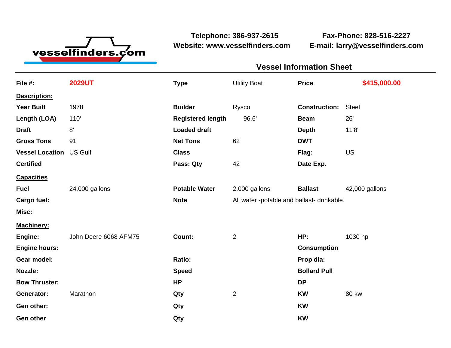

**Website: www.vesselfinders.com E-mail: larry@vesselfinders.com**

**Telephone: 386-937-2615 Fax-Phone: 828-516-2227**

| <b>Vessel Information Sheet</b>                                                |  |
|--------------------------------------------------------------------------------|--|
| Utility Boat <b>Price \$415,000.00</b>                                         |  |
|                                                                                |  |
| <b>Construction: Steel</b>                                                     |  |
| Beam 26                                                                        |  |
| <b>Depth</b><br><b>DWT</b>                                                     |  |
| Flag: U                                                                        |  |
| Date Exp.                                                                      |  |
|                                                                                |  |
| Potable Water 2,000 gallons Ballast 42,000 gallons                             |  |
| All water -potable and ballast- drinkable.                                     |  |
|                                                                                |  |
| Machinery:<br>Engine: John Deere 6068 AFM75   Count: 2   Perential MP: 1030 hp |  |
| <b>Consumption</b>                                                             |  |
| Prop dia:<br><b>Bollard Pull</b>                                               |  |
|                                                                                |  |
| <b>KW</b> 80 kw                                                                |  |
|                                                                                |  |